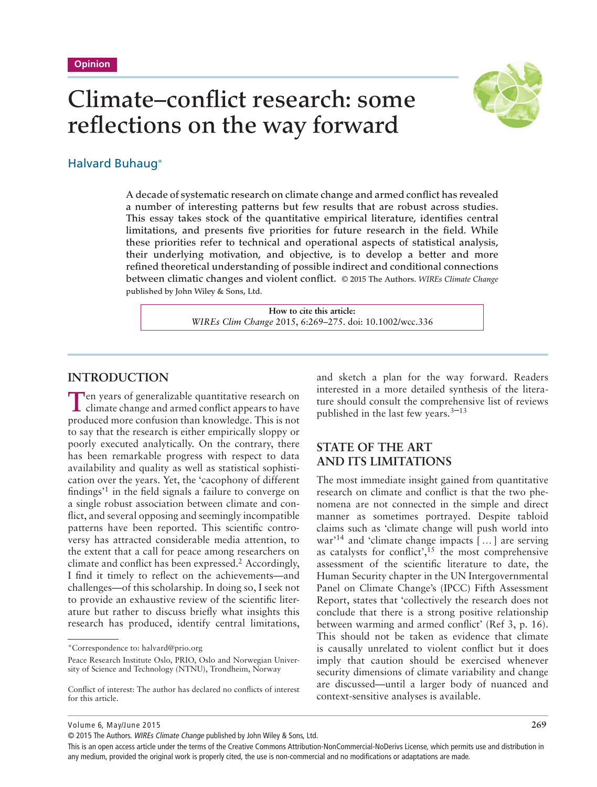# **Climate–conflict research: some reflections on the way forward**



## Halvard Buhaug<sup>∗</sup>

**A decade of systematic research on climate change and armed conflict has revealed a number of interesting patterns but few results that are robust across studies. This essay takes stock of the quantitative empirical literature, identifies central limitations, and presents five priorities for future research in the field. While these priorities refer to technical and operational aspects of statistical analysis, their underlying motivation, and objective, is to develop a better and more refined theoretical understanding of possible indirect and conditional connections between climatic changes and violent conflict. © 2015 The Authors.** *WIREs Climate Change* **published by John Wiley & Sons, Ltd.**

> **How to cite this article:** *WIREs Clim Change* 2015, 6:269–275. doi: 10.1002/wcc.336

### **INTRODUCTION**

Ten years of generalizable quantitative research on<br>climate change and armed conflict appears to have produced more confusion than knowledge. This is not to say that the research is either empirically sloppy or poorly executed analytically. On the contrary, there has been remarkable progress with respect to data availability and quality as well as statistical sophistication over the years. Yet, the 'cacophony of different findings'<sup>1</sup> in the field signals a failure to converge on a single robust association between climate and conflict, and several opposing and seemingly incompatible patterns have been reported. This scientific controversy has attracted considerable media attention, to the extent that a call for peace among researchers on climate and conflict has been expressed.2 Accordingly, I find it timely to reflect on the achievements—and challenges—of this scholarship. In doing so, I seek not to provide an exhaustive review of the scientific literature but rather to discuss briefly what insights this research has produced, identify central limitations,

<sup>∗</sup>Correspondence to: halvard@prio.org

and sketch a plan for the way forward. Readers interested in a more detailed synthesis of the literature should consult the comprehensive list of reviews published in the last few years.<sup>3-13</sup>

## **STATE OF THE ART AND ITS LIMITATIONS**

The most immediate insight gained from quantitative research on climate and conflict is that the two phenomena are not connected in the simple and direct manner as sometimes portrayed. Despite tabloid claims such as 'climate change will push world into war'<sup>14</sup> and 'climate change impacts […] are serving as catalysts for conflict', $15$  the most comprehensive assessment of the scientific literature to date, the Human Security chapter in the UN Intergovernmental Panel on Climate Change's (IPCC) Fifth Assessment Report, states that 'collectively the research does not conclude that there is a strong positive relationship between warming and armed conflict' (Ref 3, p. 16). This should not be taken as evidence that climate is causally unrelated to violent conflict but it does imply that caution should be exercised whenever security dimensions of climate variability and change are discussed—until a larger body of nuanced and context-sensitive analyses is available.

© 2015 The Authors. WIREs Climate Change published by John Wiley & Sons, Ltd.

This is an open access article under the terms of the Creative Commons Attribution-NonCommercial-NoDerivs License, which permits use and distribution in any medium, provided the original work is properly cited, the use is non-commercial and no modifications or adaptations are made.

Peace Research Institute Oslo, PRIO, Oslo and Norwegian University of Science and Technology (NTNU), Trondheim, Norway

Conflict of interest: The author has declared no conflicts of interest for this article.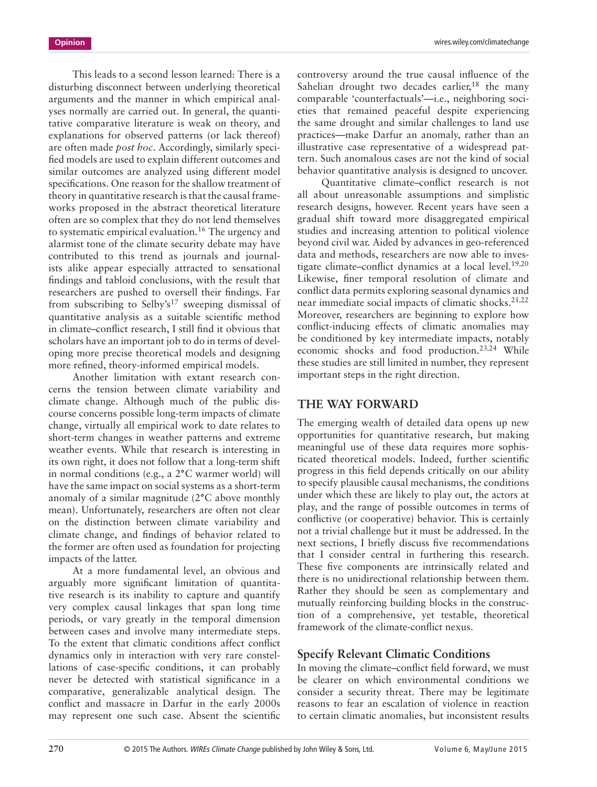This leads to a second lesson learned: There is a disturbing disconnect between underlying theoretical arguments and the manner in which empirical analyses normally are carried out. In general, the quantitative comparative literature is weak on theory, and explanations for observed patterns (or lack thereof) are often made *post hoc*. Accordingly, similarly specified models are used to explain different outcomes and similar outcomes are analyzed using different model specifications. One reason for the shallow treatment of theory in quantitative research is that the causal frameworks proposed in the abstract theoretical literature often are so complex that they do not lend themselves to systematic empirical evaluation.<sup>16</sup> The urgency and alarmist tone of the climate security debate may have contributed to this trend as journals and journalists alike appear especially attracted to sensational findings and tabloid conclusions, with the result that researchers are pushed to oversell their findings. Far from subscribing to Selby's<sup>17</sup> sweeping dismissal of quantitative analysis as a suitable scientific method in climate–conflict research, I still find it obvious that scholars have an important job to do in terms of developing more precise theoretical models and designing more refined, theory-informed empirical models.

Another limitation with extant research concerns the tension between climate variability and climate change. Although much of the public discourse concerns possible long-term impacts of climate change, virtually all empirical work to date relates to short-term changes in weather patterns and extreme weather events. While that research is interesting in its own right, it does not follow that a long-term shift in normal conditions (e.g., a 2∘C warmer world) will have the same impact on social systems as a short-term anomaly of a similar magnitude (2∘C above monthly mean). Unfortunately, researchers are often not clear on the distinction between climate variability and climate change, and findings of behavior related to the former are often used as foundation for projecting impacts of the latter.

At a more fundamental level, an obvious and arguably more significant limitation of quantitative research is its inability to capture and quantify very complex causal linkages that span long time periods, or vary greatly in the temporal dimension between cases and involve many intermediate steps. To the extent that climatic conditions affect conflict dynamics only in interaction with very rare constellations of case-specific conditions, it can probably never be detected with statistical significance in a comparative, generalizable analytical design. The conflict and massacre in Darfur in the early 2000s may represent one such case. Absent the scientific controversy around the true causal influence of the Sahelian drought two decades earlier,<sup>18</sup> the many comparable 'counterfactuals'—i.e., neighboring societies that remained peaceful despite experiencing the same drought and similar challenges to land use practices—make Darfur an anomaly, rather than an illustrative case representative of a widespread pattern. Such anomalous cases are not the kind of social behavior quantitative analysis is designed to uncover.

Quantitative climate–conflict research is not all about unreasonable assumptions and simplistic research designs, however. Recent years have seen a gradual shift toward more disaggregated empirical studies and increasing attention to political violence beyond civil war. Aided by advances in geo-referenced data and methods, researchers are now able to investigate climate–conflict dynamics at a local level.<sup>19</sup>*,*<sup>20</sup> Likewise, finer temporal resolution of climate and conflict data permits exploring seasonal dynamics and near immediate social impacts of climatic shocks.<sup>21</sup>*,*<sup>22</sup> Moreover, researchers are beginning to explore how conflict-inducing effects of climatic anomalies may be conditioned by key intermediate impacts, notably economic shocks and food production.23*,*<sup>24</sup> While these studies are still limited in number, they represent important steps in the right direction.

## **THE WAY FORWARD**

The emerging wealth of detailed data opens up new opportunities for quantitative research, but making meaningful use of these data requires more sophisticated theoretical models. Indeed, further scientific progress in this field depends critically on our ability to specify plausible causal mechanisms, the conditions under which these are likely to play out, the actors at play, and the range of possible outcomes in terms of conflictive (or cooperative) behavior. This is certainly not a trivial challenge but it must be addressed. In the next sections, I briefly discuss five recommendations that I consider central in furthering this research. These five components are intrinsically related and there is no unidirectional relationship between them. Rather they should be seen as complementary and mutually reinforcing building blocks in the construction of a comprehensive, yet testable, theoretical framework of the climate-conflict nexus.

## **Specify Relevant Climatic Conditions**

In moving the climate–conflict field forward, we must be clearer on which environmental conditions we consider a security threat. There may be legitimate reasons to fear an escalation of violence in reaction to certain climatic anomalies, but inconsistent results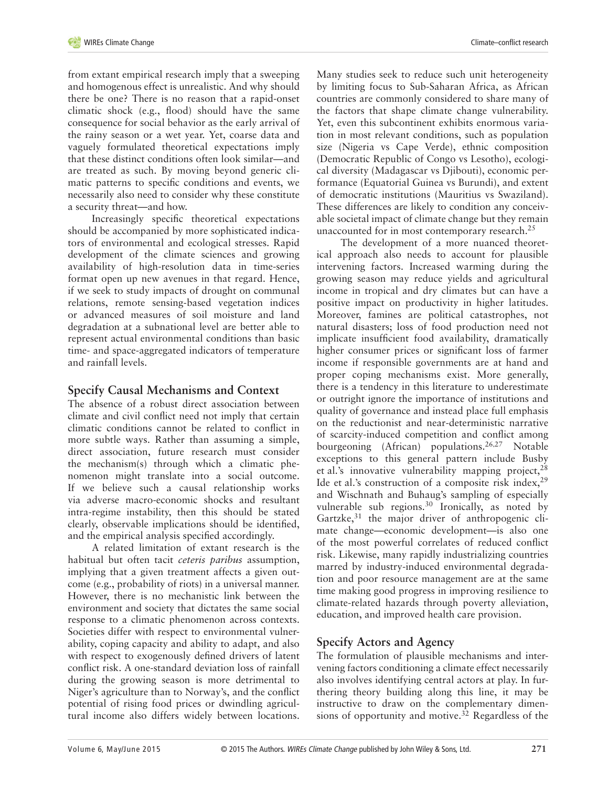from extant empirical research imply that a sweeping and homogenous effect is unrealistic. And why should there be one? There is no reason that a rapid-onset climatic shock (e.g., flood) should have the same consequence for social behavior as the early arrival of the rainy season or a wet year. Yet, coarse data and vaguely formulated theoretical expectations imply that these distinct conditions often look similar—and are treated as such. By moving beyond generic climatic patterns to specific conditions and events, we necessarily also need to consider why these constitute a security threat—and how.

Increasingly specific theoretical expectations should be accompanied by more sophisticated indicators of environmental and ecological stresses. Rapid development of the climate sciences and growing availability of high-resolution data in time-series format open up new avenues in that regard. Hence, if we seek to study impacts of drought on communal relations, remote sensing-based vegetation indices or advanced measures of soil moisture and land degradation at a subnational level are better able to represent actual environmental conditions than basic time- and space-aggregated indicators of temperature and rainfall levels.

### **Specify Causal Mechanisms and Context**

The absence of a robust direct association between climate and civil conflict need not imply that certain climatic conditions cannot be related to conflict in more subtle ways. Rather than assuming a simple, direct association, future research must consider the mechanism(s) through which a climatic phenomenon might translate into a social outcome. If we believe such a causal relationship works via adverse macro-economic shocks and resultant intra-regime instability, then this should be stated clearly, observable implications should be identified, and the empirical analysis specified accordingly.

A related limitation of extant research is the habitual but often tacit *ceteris paribus* assumption, implying that a given treatment affects a given outcome (e.g., probability of riots) in a universal manner. However, there is no mechanistic link between the environment and society that dictates the same social response to a climatic phenomenon across contexts. Societies differ with respect to environmental vulnerability, coping capacity and ability to adapt, and also with respect to exogenously defined drivers of latent conflict risk. A one-standard deviation loss of rainfall during the growing season is more detrimental to Niger's agriculture than to Norway's, and the conflict potential of rising food prices or dwindling agricultural income also differs widely between locations.

Many studies seek to reduce such unit heterogeneity by limiting focus to Sub-Saharan Africa, as African countries are commonly considered to share many of the factors that shape climate change vulnerability. Yet, even this subcontinent exhibits enormous variation in most relevant conditions, such as population size (Nigeria vs Cape Verde), ethnic composition (Democratic Republic of Congo vs Lesotho), ecological diversity (Madagascar vs Djibouti), economic performance (Equatorial Guinea vs Burundi), and extent of democratic institutions (Mauritius vs Swaziland). These differences are likely to condition any conceivable societal impact of climate change but they remain unaccounted for in most contemporary research. $^{25}$ 

The development of a more nuanced theoretical approach also needs to account for plausible intervening factors. Increased warming during the growing season may reduce yields and agricultural income in tropical and dry climates but can have a positive impact on productivity in higher latitudes. Moreover, famines are political catastrophes, not natural disasters; loss of food production need not implicate insufficient food availability, dramatically higher consumer prices or significant loss of farmer income if responsible governments are at hand and proper coping mechanisms exist. More generally, there is a tendency in this literature to underestimate or outright ignore the importance of institutions and quality of governance and instead place full emphasis on the reductionist and near-deterministic narrative of scarcity-induced competition and conflict among bourgeoning (African) populations.26*,*<sup>27</sup> Notable exceptions to this general pattern include Busby et al.'s innovative vulnerability mapping project,<sup>28</sup> Ide et al.'s construction of a composite risk index,<sup>29</sup> and Wischnath and Buhaug's sampling of especially vulnerable sub regions. $30$  Ironically, as noted by Gartzke, $31$  the major driver of anthropogenic climate change—economic development—is also one of the most powerful correlates of reduced conflict risk. Likewise, many rapidly industrializing countries marred by industry-induced environmental degradation and poor resource management are at the same time making good progress in improving resilience to climate-related hazards through poverty alleviation, education, and improved health care provision.

## **Specify Actors and Agency**

The formulation of plausible mechanisms and intervening factors conditioning a climate effect necessarily also involves identifying central actors at play. In furthering theory building along this line, it may be instructive to draw on the complementary dimensions of opportunity and motive.<sup>32</sup> Regardless of the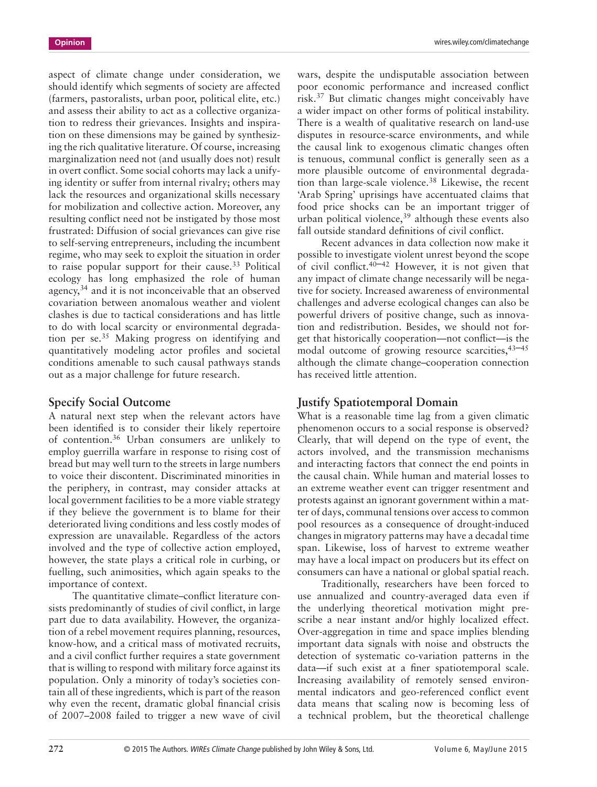aspect of climate change under consideration, we should identify which segments of society are affected (farmers, pastoralists, urban poor, political elite, etc.) and assess their ability to act as a collective organization to redress their grievances. Insights and inspiration on these dimensions may be gained by synthesizing the rich qualitative literature. Of course, increasing marginalization need not (and usually does not) result in overt conflict. Some social cohorts may lack a unifying identity or suffer from internal rivalry; others may lack the resources and organizational skills necessary for mobilization and collective action. Moreover, any resulting conflict need not be instigated by those most frustrated: Diffusion of social grievances can give rise to self-serving entrepreneurs, including the incumbent regime, who may seek to exploit the situation in order to raise popular support for their cause.<sup>33</sup> Political ecology has long emphasized the role of human agency,34 and it is not inconceivable that an observed covariation between anomalous weather and violent clashes is due to tactical considerations and has little to do with local scarcity or environmental degradation per se.<sup>35</sup> Making progress on identifying and quantitatively modeling actor profiles and societal conditions amenable to such causal pathways stands out as a major challenge for future research.

### **Specify Social Outcome**

A natural next step when the relevant actors have been identified is to consider their likely repertoire of contention.36 Urban consumers are unlikely to employ guerrilla warfare in response to rising cost of bread but may well turn to the streets in large numbers to voice their discontent. Discriminated minorities in the periphery, in contrast, may consider attacks at local government facilities to be a more viable strategy if they believe the government is to blame for their deteriorated living conditions and less costly modes of expression are unavailable. Regardless of the actors involved and the type of collective action employed, however, the state plays a critical role in curbing, or fuelling, such animosities, which again speaks to the importance of context.

The quantitative climate–conflict literature consists predominantly of studies of civil conflict, in large part due to data availability. However, the organization of a rebel movement requires planning, resources, know-how, and a critical mass of motivated recruits, and a civil conflict further requires a state government that is willing to respond with military force against its population. Only a minority of today's societies contain all of these ingredients, which is part of the reason why even the recent, dramatic global financial crisis of 2007–2008 failed to trigger a new wave of civil wars, despite the undisputable association between poor economic performance and increased conflict risk.37 But climatic changes might conceivably have a wider impact on other forms of political instability. There is a wealth of qualitative research on land-use disputes in resource-scarce environments, and while the causal link to exogenous climatic changes often is tenuous, communal conflict is generally seen as a more plausible outcome of environmental degradation than large-scale violence.<sup>38</sup> Likewise, the recent 'Arab Spring' uprisings have accentuated claims that food price shocks can be an important trigger of urban political violence, $39$  although these events also fall outside standard definitions of civil conflict.

Recent advances in data collection now make it possible to investigate violent unrest beyond the scope of civil conflict. $40-42$  However, it is not given that any impact of climate change necessarily will be negative for society. Increased awareness of environmental challenges and adverse ecological changes can also be powerful drivers of positive change, such as innovation and redistribution. Besides, we should not forget that historically cooperation—not conflict—is the modal outcome of growing resource scarcities,  $43-45$ although the climate change–cooperation connection has received little attention.

### **Justify Spatiotemporal Domain**

What is a reasonable time lag from a given climatic phenomenon occurs to a social response is observed? Clearly, that will depend on the type of event, the actors involved, and the transmission mechanisms and interacting factors that connect the end points in the causal chain. While human and material losses to an extreme weather event can trigger resentment and protests against an ignorant government within a matter of days, communal tensions over access to common pool resources as a consequence of drought-induced changes in migratory patterns may have a decadal time span. Likewise, loss of harvest to extreme weather may have a local impact on producers but its effect on consumers can have a national or global spatial reach.

Traditionally, researchers have been forced to use annualized and country-averaged data even if the underlying theoretical motivation might prescribe a near instant and/or highly localized effect. Over-aggregation in time and space implies blending important data signals with noise and obstructs the detection of systematic co-variation patterns in the data—if such exist at a finer spatiotemporal scale. Increasing availability of remotely sensed environmental indicators and geo-referenced conflict event data means that scaling now is becoming less of a technical problem, but the theoretical challenge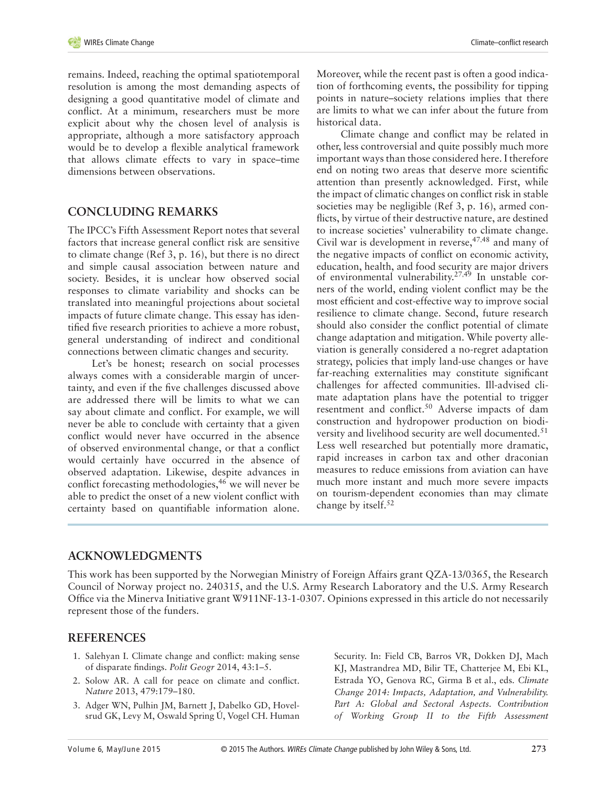remains. Indeed, reaching the optimal spatiotemporal resolution is among the most demanding aspects of designing a good quantitative model of climate and conflict. At a minimum, researchers must be more explicit about why the chosen level of analysis is appropriate, although a more satisfactory approach would be to develop a flexible analytical framework that allows climate effects to vary in space–time dimensions between observations.

## **CONCLUDING REMARKS**

The IPCC's Fifth Assessment Report notes that several factors that increase general conflict risk are sensitive to climate change (Ref 3, p. 16), but there is no direct and simple causal association between nature and society. Besides, it is unclear how observed social responses to climate variability and shocks can be translated into meaningful projections about societal impacts of future climate change. This essay has identified five research priorities to achieve a more robust, general understanding of indirect and conditional connections between climatic changes and security.

Let's be honest; research on social processes always comes with a considerable margin of uncertainty, and even if the five challenges discussed above are addressed there will be limits to what we can say about climate and conflict. For example, we will never be able to conclude with certainty that a given conflict would never have occurred in the absence of observed environmental change, or that a conflict would certainly have occurred in the absence of observed adaptation. Likewise, despite advances in conflict forecasting methodologies,<sup>46</sup> we will never be able to predict the onset of a new violent conflict with certainty based on quantifiable information alone.

Moreover, while the recent past is often a good indication of forthcoming events, the possibility for tipping points in nature–society relations implies that there are limits to what we can infer about the future from historical data.

Climate change and conflict may be related in other, less controversial and quite possibly much more important ways than those considered here. I therefore end on noting two areas that deserve more scientific attention than presently acknowledged. First, while the impact of climatic changes on conflict risk in stable societies may be negligible (Ref 3, p. 16), armed conflicts, by virtue of their destructive nature, are destined to increase societies' vulnerability to climate change. Civil war is development in reverse,<sup>47,48</sup> and many of the negative impacts of conflict on economic activity, education, health, and food security are major drivers of environmental vulnerability.27*,*<sup>49</sup> In unstable corners of the world, ending violent conflict may be the most efficient and cost-effective way to improve social resilience to climate change. Second, future research should also consider the conflict potential of climate change adaptation and mitigation. While poverty alleviation is generally considered a no-regret adaptation strategy, policies that imply land-use changes or have far-reaching externalities may constitute significant challenges for affected communities. Ill-advised climate adaptation plans have the potential to trigger resentment and conflict.<sup>50</sup> Adverse impacts of dam construction and hydropower production on biodiversity and livelihood security are well documented.<sup>51</sup> Less well researched but potentially more dramatic, rapid increases in carbon tax and other draconian measures to reduce emissions from aviation can have much more instant and much more severe impacts on tourism-dependent economies than may climate change by itself.<sup>52</sup>

### **ACKNOWLEDGMENTS**

This work has been supported by the Norwegian Ministry of Foreign Affairs grant QZA-13/0365, the Research Council of Norway project no. 240315, and the U.S. Army Research Laboratory and the U.S. Army Research Office via the Minerva Initiative grant W911NF-13-1-0307. Opinions expressed in this article do not necessarily represent those of the funders.

### **REFERENCES**

- 1. Salehyan I. Climate change and conflict: making sense of disparate findings. *Polit Geogr* 2014, 43:1–5.
- 2. Solow AR. A call for peace on climate and conflict. *Nature* 2013, 479:179–180.
- 3. Adger WN, Pulhin JM, Barnett J, Dabelko GD, Hovelsrud GK, Levy M, Oswald Spring Ú, Vogel CH. Human

Security. In: Field CB, Barros VR, Dokken DJ, Mach KJ, Mastrandrea MD, Bilir TE, Chatterjee M, Ebi KL, Estrada YO, Genova RC, Girma B et al., eds. *Climate Change 2014: Impacts, Adaptation, and Vulnerability. Part A: Global and Sectoral Aspects. Contribution of Working Group II to the Fifth Assessment*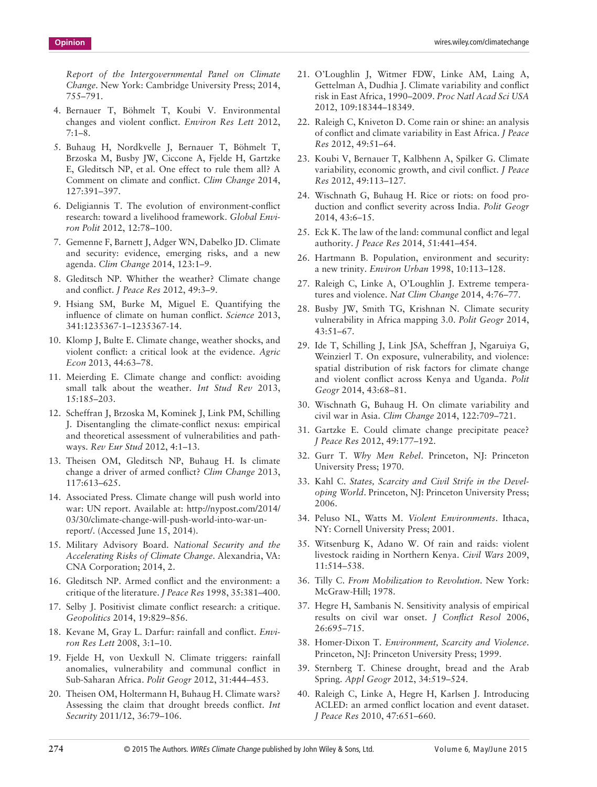*Report of the Intergovernmental Panel on Climate Change*. New York: Cambridge University Press; 2014, 755–791.

- 4. Bernauer T, Böhmelt T, Koubi V. Environmental changes and violent conflict. *Environ Res Lett* 2012,  $7:1-8.$
- 5. Buhaug H, Nordkvelle J, Bernauer T, Böhmelt T, Brzoska M, Busby JW, Ciccone A, Fjelde H, Gartzke E, Gleditsch NP, et al. One effect to rule them all? A Comment on climate and conflict. *Clim Change* 2014, 127:391–397.
- 6. Deligiannis T. The evolution of environment-conflict research: toward a livelihood framework. *Global Environ Polit* 2012, 12:78–100.
- 7. Gemenne F, Barnett J, Adger WN, Dabelko JD. Climate and security: evidence, emerging risks, and a new agenda. *Clim Change* 2014, 123:1–9.
- 8. Gleditsch NP. Whither the weather? Climate change and conflict. *J Peace Res* 2012, 49:3–9.
- 9. Hsiang SM, Burke M, Miguel E. Quantifying the influence of climate on human conflict. *Science* 2013, 341:1235367-1–1235367-14.
- 10. Klomp J, Bulte E. Climate change, weather shocks, and violent conflict: a critical look at the evidence. *Agric Econ* 2013, 44:63–78.
- 11. Meierding E. Climate change and conflict: avoiding small talk about the weather. *Int Stud Rev* 2013, 15:185–203.
- 12. Scheffran J, Brzoska M, Kominek J, Link PM, Schilling J. Disentangling the climate-conflict nexus: empirical and theoretical assessment of vulnerabilities and pathways. *Rev Eur Stud* 2012, 4:1–13.
- 13. Theisen OM, Gleditsch NP, Buhaug H. Is climate change a driver of armed conflict? *Clim Change* 2013, 117:613–625.
- 14. Associated Press. Climate change will push world into war: UN report. Available at: http://nypost.com/2014/ 03/30/[climate-change-will-push](http://nypost.com/2014/03/30/climate-change-will-push-world-into-war-un-report/)-world-into-war-unreport/. (Accessed June 15, 2014).
- 15. Military Advisory Board. *National Security and the Accelerating Risks of Climate Change*. Alexandria, VA: CNA Corporation; 2014, 2.
- 16. Gleditsch NP. Armed conflict and the environment: a critique of the literature. *J Peace Res* 1998, 35:381–400.
- 17. Selby J. Positivist climate conflict research: a critique. *Geopolitics* 2014, 19:829–856.
- 18. Kevane M, Gray L. Darfur: rainfall and conflict. *Environ Res Lett* 2008, 3:1–10.
- 19. Fjelde H, von Uexkull N. Climate triggers: rainfall anomalies, vulnerability and communal conflict in Sub-Saharan Africa. *Polit Geogr* 2012, 31:444–453.
- 20. Theisen OM, Holtermann H, Buhaug H. Climate wars? Assessing the claim that drought breeds conflict. *Int Security* 2011/12, 36:79–106.
- 21. O'Loughlin J, Witmer FDW, Linke AM, Laing A, Gettelman A, Dudhia J. Climate variability and conflict risk in East Africa, 1990–2009. *Proc Natl Acad Sci USA* 2012, 109:18344–18349.
- 22. Raleigh C, Kniveton D. Come rain or shine: an analysis of conflict and climate variability in East Africa. *J Peace Res* 2012, 49:51–64.
- 23. Koubi V, Bernauer T, Kalbhenn A, Spilker G. Climate variability, economic growth, and civil conflict. *J Peace Res* 2012, 49:113–127.
- 24. Wischnath G, Buhaug H. Rice or riots: on food production and conflict severity across India. *Polit Geogr* 2014, 43:6–15.
- 25. Eck K. The law of the land: communal conflict and legal authority. *J Peace Res* 2014, 51:441–454.
- 26. Hartmann B. Population, environment and security: a new trinity. *Environ Urban* 1998, 10:113–128.
- 27. Raleigh C, Linke A, O'Loughlin J. Extreme temperatures and violence. *Nat Clim Change* 2014, 4:76–77.
- 28. Busby JW, Smith TG, Krishnan N. Climate security vulnerability in Africa mapping 3.0. *Polit Geogr* 2014, 43:51–67.
- 29. Ide T, Schilling J, Link JSA, Scheffran J, Ngaruiya G, Weinzierl T. On exposure, vulnerability, and violence: spatial distribution of risk factors for climate change and violent conflict across Kenya and Uganda. *Polit Geogr* 2014, 43:68–81.
- 30. Wischnath G, Buhaug H. On climate variability and civil war in Asia. *Clim Change* 2014, 122:709–721.
- 31. Gartzke E. Could climate change precipitate peace? *J Peace Res* 2012, 49:177–192.
- 32. Gurr T. *Why Men Rebel*. Princeton, NJ: Princeton University Press; 1970.
- 33. Kahl C. *States, Scarcity and Civil Strife in the Developing World*. Princeton, NJ: Princeton University Press; 2006.
- 34. Peluso NL, Watts M. *Violent Environments*. Ithaca, NY: Cornell University Press; 2001.
- 35. Witsenburg K, Adano W. Of rain and raids: violent livestock raiding in Northern Kenya. *Civil Wars* 2009, 11:514–538.
- 36. Tilly C. *From Mobilization to Revolution*. New York: McGraw-Hill; 1978.
- 37. Hegre H, Sambanis N. Sensitivity analysis of empirical results on civil war onset. *J Conflict Resol* 2006, 26:695–715.
- 38. Homer-Dixon T. *Environment, Scarcity and Violence*. Princeton, NJ: Princeton University Press; 1999.
- 39. Sternberg T. Chinese drought, bread and the Arab Spring. *Appl Geogr* 2012, 34:519–524.
- 40. Raleigh C, Linke A, Hegre H, Karlsen J. Introducing ACLED: an armed conflict location and event dataset. *J Peace Res* 2010, 47:651–660.